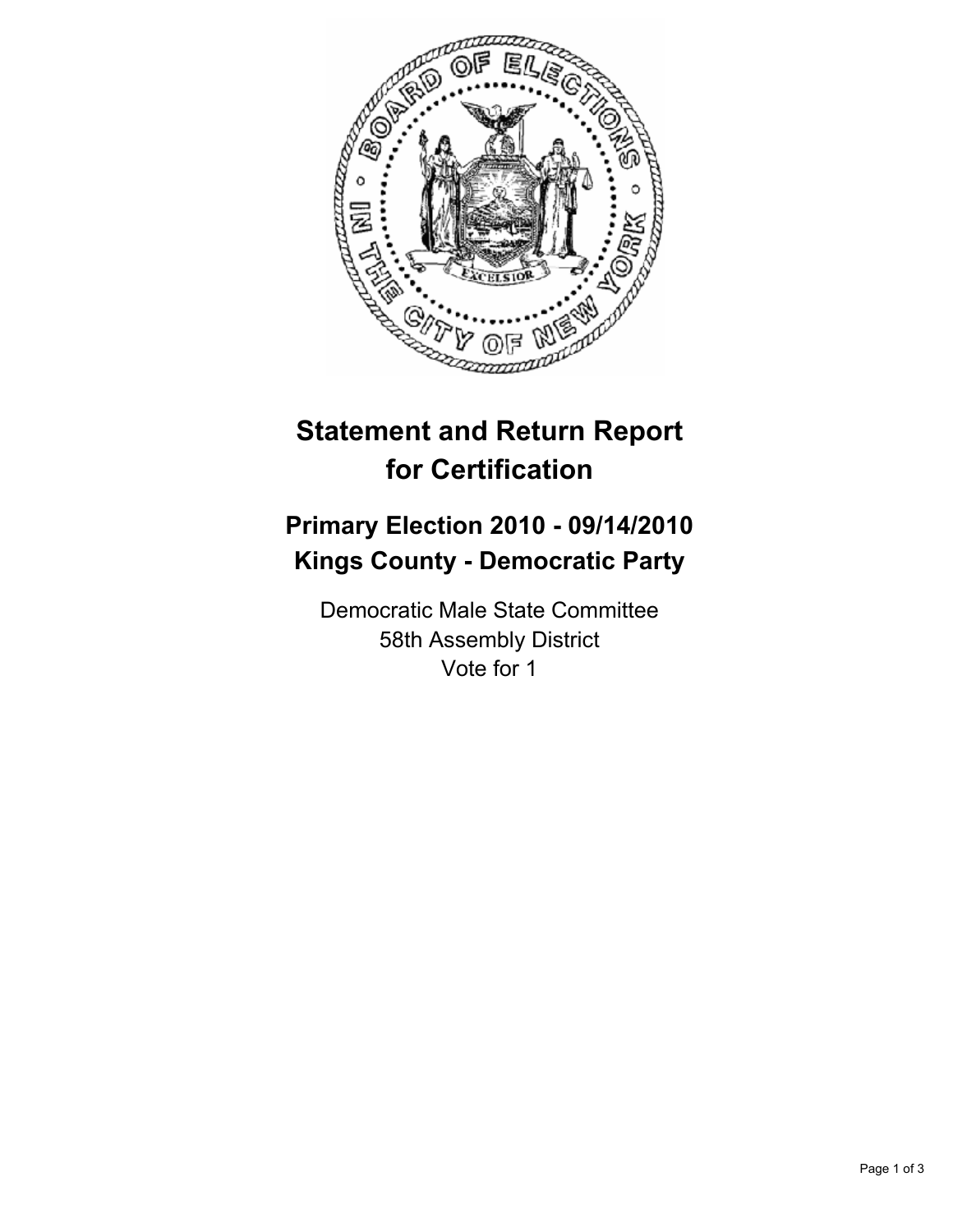

## **Statement and Return Report for Certification**

## **Primary Election 2010 - 09/14/2010 Kings County - Democratic Party**

Democratic Male State Committee 58th Assembly District Vote for 1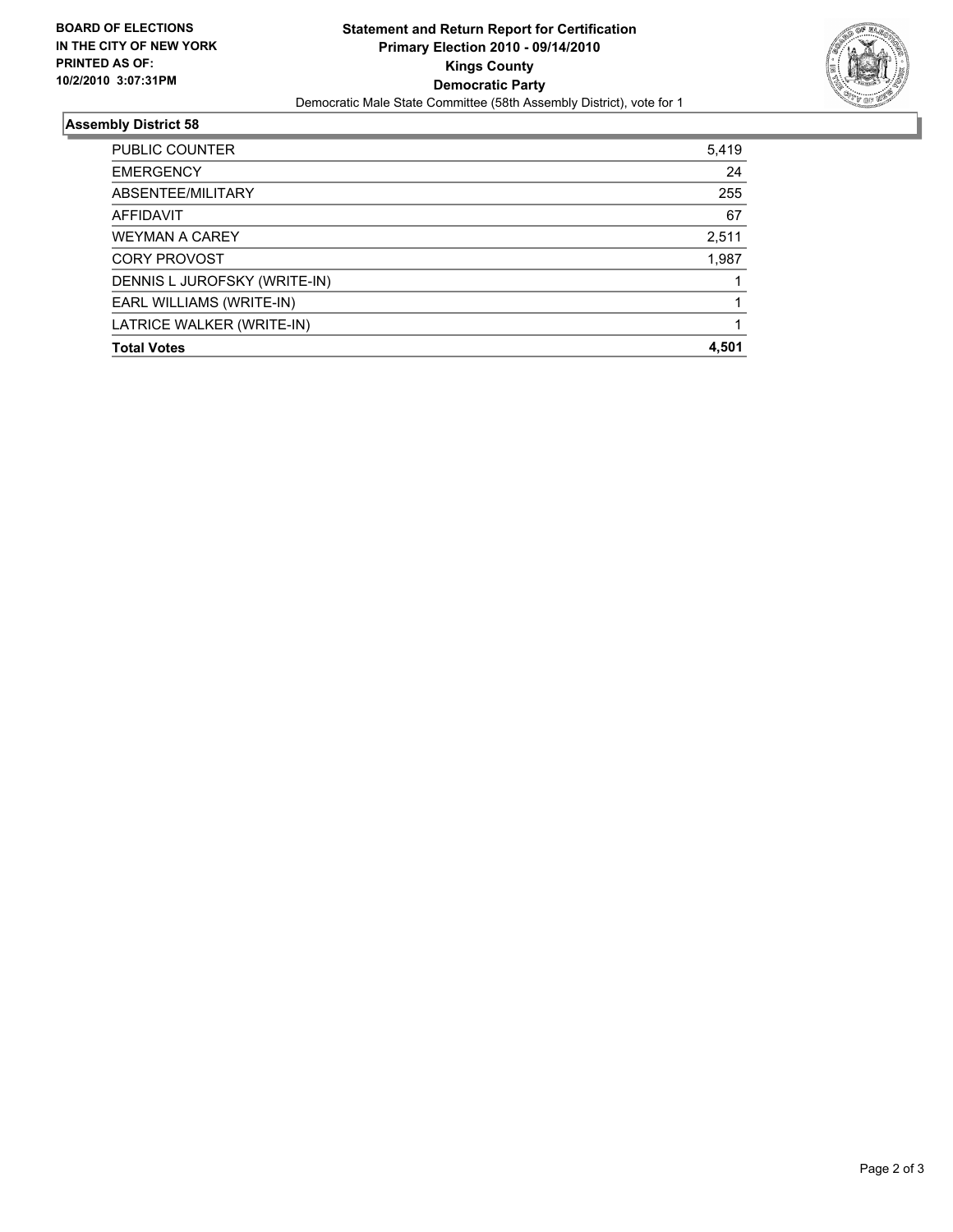

## **Assembly District 58**

| PUBLIC COUNTER<br><b>EMERGENCY</b><br>ABSENTEE/MILITARY | 5,419<br>24<br>255 |
|---------------------------------------------------------|--------------------|
|                                                         |                    |
|                                                         |                    |
|                                                         |                    |
| <b>AFFIDAVIT</b>                                        | 67                 |
| <b>WEYMAN A CAREY</b>                                   | 2,511              |
| <b>CORY PROVOST</b>                                     | 1,987              |
| DENNIS L JUROFSKY (WRITE-IN)                            |                    |
| EARL WILLIAMS (WRITE-IN)                                |                    |
| LATRICE WALKER (WRITE-IN)                               |                    |
| <b>Total Votes</b>                                      | 4.501              |